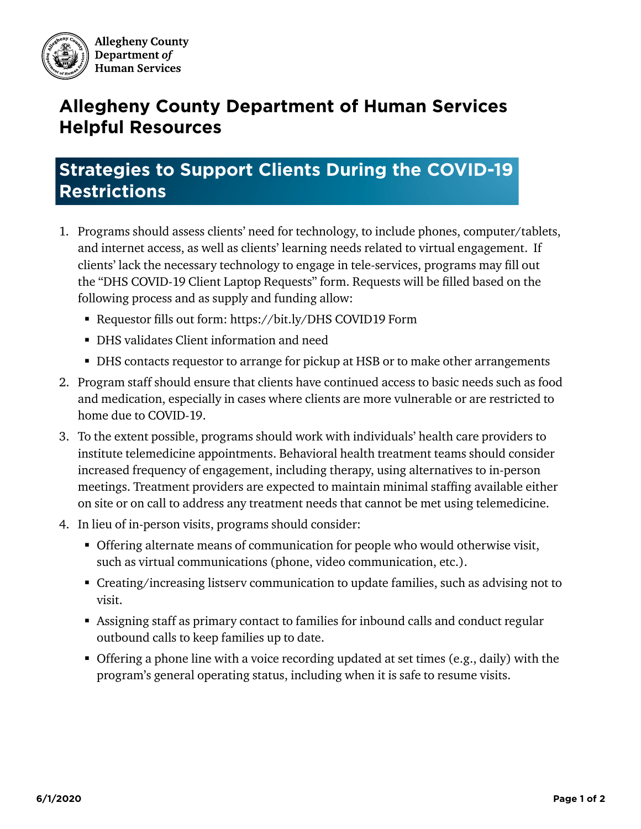

**Allegheny County** Department of **Human Services** 

## **Allegheny County Department of Human Services Helpful Resources**

## **Strategies to Support Clients During the COVID-19 Restrictions**

- 1. Programs should assess clients' need for technology, to include phones, computer/tablets, and internet access, as well as clients' learning needs related to virtual engagement. If clients' lack the necessary technology to engage in tele-services, programs may fill out the "DHS COVID-19 Client Laptop Requests" form. Requests will be filled based on the following process and as supply and funding allow:
	- Requestor fills out form: https://bit.ly/DHS COVID19 Form
	- DHS validates Client information and need
	- DHS contacts requestor to arrange for pickup at HSB or to make other arrangements
- 2. Program staff should ensure that clients have continued access to basic needs such as food and medication, especially in cases where clients are more vulnerable or are restricted to home due to COVID-19.
- 3. To the extent possible, programs should work with individuals' health care providers to institute telemedicine appointments. Behavioral health treatment teams should consider increased frequency of engagement, including therapy, using alternatives to in-person meetings. Treatment providers are expected to maintain minimal staffing available either on site or on call to address any treatment needs that cannot be met using telemedicine.
- 4. In lieu of in-person visits, programs should consider:
	- Offering alternate means of communication for people who would otherwise visit, such as virtual communications (phone, video communication, etc.).
	- Creating/increasing listserv communication to update families, such as advising not to visit.
	- Assigning staff as primary contact to families for inbound calls and conduct regular outbound calls to keep families up to date.
	- Offering a phone line with a voice recording updated at set times (e.g., daily) with the program's general operating status, including when it is safe to resume visits.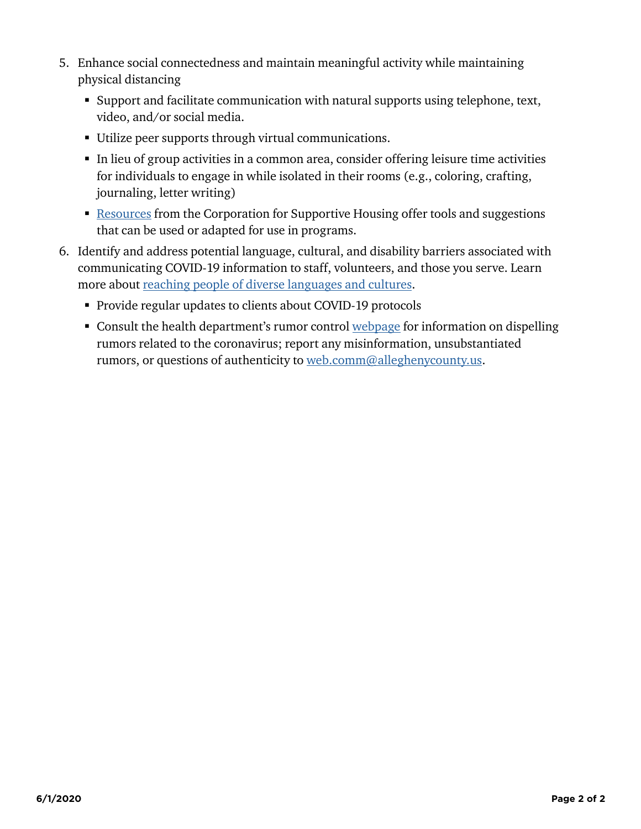- 5. Enhance social connectedness and maintain meaningful activity while maintaining physical distancing
	- Support and facilitate communication with natural supports using telephone, text, video, and/or social media.
	- Utilize peer supports through virtual communications.
	- In lieu of group activities in a common area, consider offering leisure time activities for individuals to engage in while isolated in their rooms (e.g., coloring, crafting, journaling, letter writing)
	- [Resources](https://d155kunxf1aozz.cloudfront.net/wp-content/uploads/2020/03/EnhancingSocialConnectedness_COVID19_3_25_20.pdf) from the Corporation for Supportive Housing offer tools and suggestions that can be used or adapted for use in programs.
- 6. Identify and address potential language, cultural, and disability barriers associated with communicating COVID-19 information to staff, volunteers, and those you serve. Learn more about [reaching people of diverse languages and cultures.](https://www.cdc.gov/healthcommunication/Audience/index.html)
	- Provide regular updates to clients about COVID-19 protocols
	- Consult the health department's rumor control [webpage](https://www.alleghenycounty.us/Health-Department/Resources/COVID-19/Rumor-Control.aspx) for information on dispelling rumors related to the coronavirus; report any misinformation, unsubstantiated rumors, or questions of authenticity to [web.comm@alleghenycounty.us.](mailto:mailto:web.comm@alleghenycounty.us)